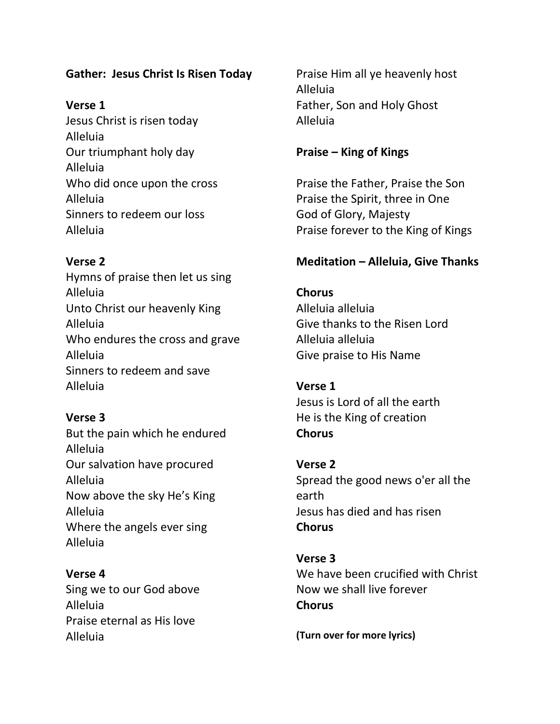# **Gather: Jesus Christ Is Risen Today**

# **Verse 1**

Jesus Christ is risen today Alleluia Our triumphant holy day Alleluia Who did once upon the cross Alleluia Sinners to redeem our loss Alleluia

# **Verse 2**

Hymns of praise then let us sing Alleluia Unto Christ our heavenly King Alleluia Who endures the cross and grave Alleluia Sinners to redeem and save Alleluia

# **Verse 3**

But the pain which he endured Alleluia Our salvation have procured Alleluia Now above the sky He's King Alleluia Where the angels ever sing Alleluia

# **Verse 4**

Sing we to our God above Alleluia Praise eternal as His love Alleluia

Praise Him all ye heavenly host Alleluia Father, Son and Holy Ghost Alleluia

# **Praise – King of Kings**

Praise the Father, Praise the Son Praise the Spirit, three in One God of Glory, Majesty Praise forever to the King of Kings

# **Meditation – Alleluia, Give Thanks**

**Chorus** Alleluia alleluia Give thanks to the Risen Lord Alleluia alleluia Give praise to His Name

# **Verse 1**

Jesus is Lord of all the earth He is the King of creation **Chorus**

**Verse 2** Spread the good news o'er all the earth Jesus has died and has risen **Chorus**

**Verse 3** We have been crucified with Christ Now we shall live forever **Chorus**

**(Turn over for more lyrics)**